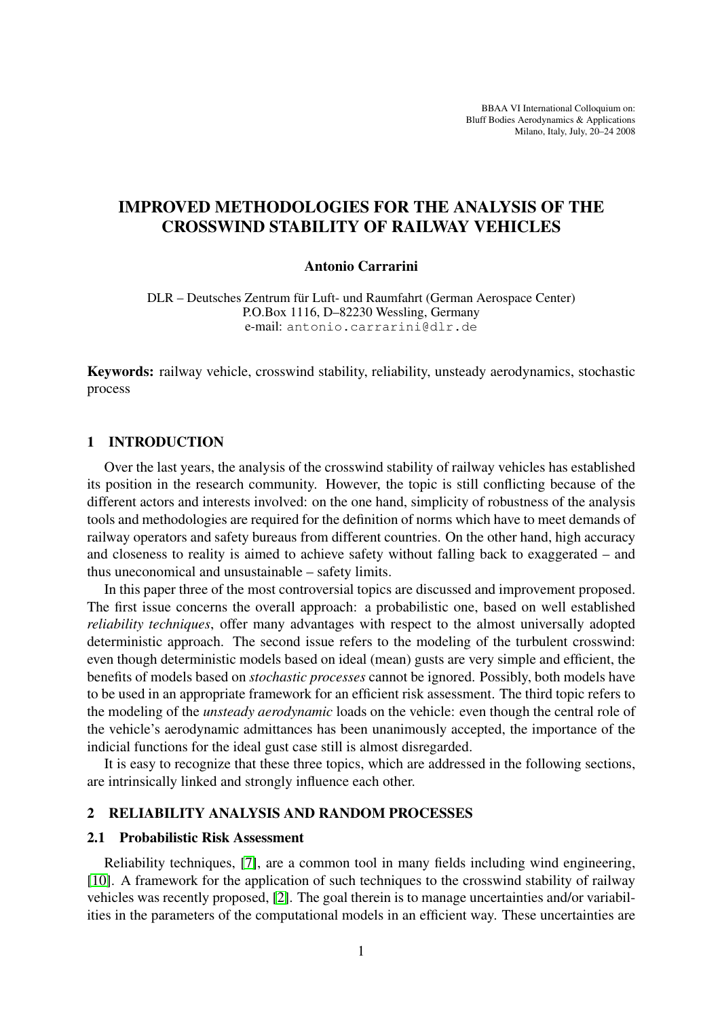BBAA VI International Colloquium on: Bluff Bodies Aerodynamics & Applications Milano, Italy, July, 20–24 2008

# IMPROVED METHODOLOGIES FOR THE ANALYSIS OF THE CROSSWIND STABILITY OF RAILWAY VEHICLES

# Antonio Carrarini

DLR – Deutsches Zentrum für Luft- und Raumfahrt (German Aerospace Center) P.O.Box 1116, D–82230 Wessling, Germany e-mail: antonio.carrarini@dlr.de

Keywords: railway vehicle, crosswind stability, reliability, unsteady aerodynamics, stochastic process

# 1 INTRODUCTION

Over the last years, the analysis of the crosswind stability of railway vehicles has established its position in the research community. However, the topic is still conflicting because of the different actors and interests involved: on the one hand, simplicity of robustness of the analysis tools and methodologies are required for the definition of norms which have to meet demands of railway operators and safety bureaus from different countries. On the other hand, high accuracy and closeness to reality is aimed to achieve safety without falling back to exaggerated – and thus uneconomical and unsustainable – safety limits.

In this paper three of the most controversial topics are discussed and improvement proposed. The first issue concerns the overall approach: a probabilistic one, based on well established *reliability techniques*, offer many advantages with respect to the almost universally adopted deterministic approach. The second issue refers to the modeling of the turbulent crosswind: even though deterministic models based on ideal (mean) gusts are very simple and efficient, the benefits of models based on *stochastic processes* cannot be ignored. Possibly, both models have to be used in an appropriate framework for an efficient risk assessment. The third topic refers to the modeling of the *unsteady aerodynamic* loads on the vehicle: even though the central role of the vehicle's aerodynamic admittances has been unanimously accepted, the importance of the indicial functions for the ideal gust case still is almost disregarded.

It is easy to recognize that these three topics, which are addressed in the following sections, are intrinsically linked and strongly influence each other.

# 2 RELIABILITY ANALYSIS AND RANDOM PROCESSES

#### 2.1 Probabilistic Risk Assessment

Reliability techniques, [\[7\]](#page-3-0), are a common tool in many fields including wind engineering, [\[10\]](#page-3-1). A framework for the application of such techniques to the crosswind stability of railway vehicles was recently proposed, [\[2\]](#page-3-2). The goal therein is to manage uncertainties and/or variabilities in the parameters of the computational models in an efficient way. These uncertainties are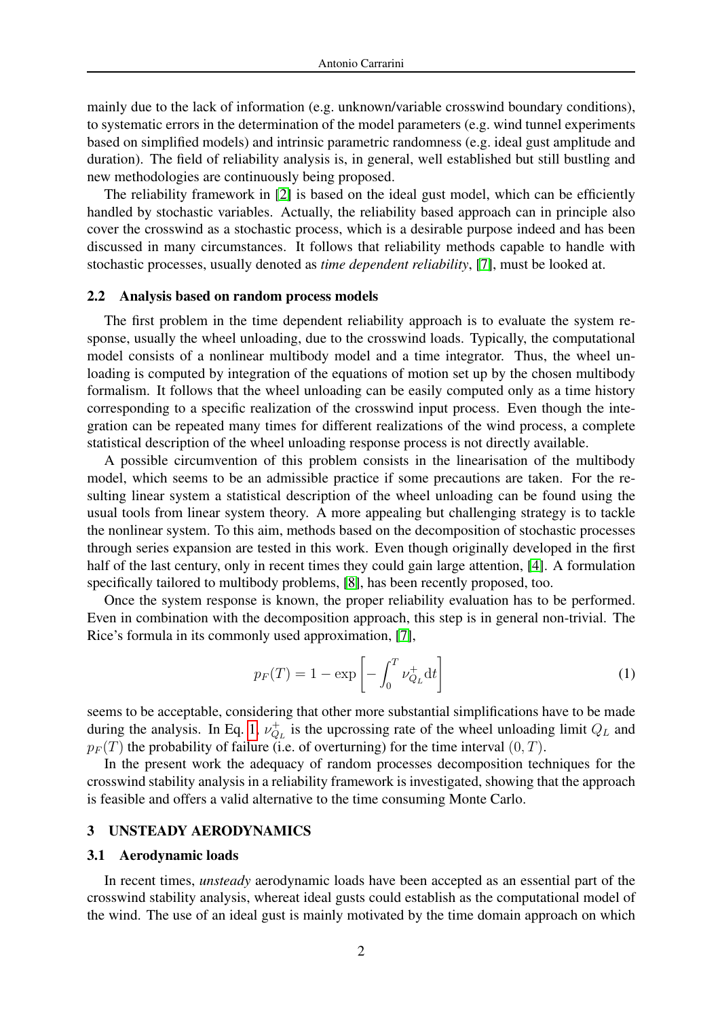mainly due to the lack of information (e.g. unknown/variable crosswind boundary conditions), to systematic errors in the determination of the model parameters (e.g. wind tunnel experiments based on simplified models) and intrinsic parametric randomness (e.g. ideal gust amplitude and duration). The field of reliability analysis is, in general, well established but still bustling and new methodologies are continuously being proposed.

The reliability framework in [\[2\]](#page-3-2) is based on the ideal gust model, which can be efficiently handled by stochastic variables. Actually, the reliability based approach can in principle also cover the crosswind as a stochastic process, which is a desirable purpose indeed and has been discussed in many circumstances. It follows that reliability methods capable to handle with stochastic processes, usually denoted as *time dependent reliability*, [\[7\]](#page-3-0), must be looked at.

#### 2.2 Analysis based on random process models

The first problem in the time dependent reliability approach is to evaluate the system response, usually the wheel unloading, due to the crosswind loads. Typically, the computational model consists of a nonlinear multibody model and a time integrator. Thus, the wheel unloading is computed by integration of the equations of motion set up by the chosen multibody formalism. It follows that the wheel unloading can be easily computed only as a time history corresponding to a specific realization of the crosswind input process. Even though the integration can be repeated many times for different realizations of the wind process, a complete statistical description of the wheel unloading response process is not directly available.

A possible circumvention of this problem consists in the linearisation of the multibody model, which seems to be an admissible practice if some precautions are taken. For the resulting linear system a statistical description of the wheel unloading can be found using the usual tools from linear system theory. A more appealing but challenging strategy is to tackle the nonlinear system. To this aim, methods based on the decomposition of stochastic processes through series expansion are tested in this work. Even though originally developed in the first half of the last century, only in recent times they could gain large attention, [\[4\]](#page-3-3). A formulation specifically tailored to multibody problems, [\[8\]](#page-3-4), has been recently proposed, too.

Once the system response is known, the proper reliability evaluation has to be performed. Even in combination with the decomposition approach, this step is in general non-trivial. The Rice's formula in its commonly used approximation, [\[7\]](#page-3-0),

<span id="page-1-0"></span>
$$
p_F(T) = 1 - \exp\left[-\int_0^T \nu_{Q_L}^+ dt\right]
$$
 (1)

seems to be acceptable, considering that other more substantial simplifications have to be made during the analysis. In Eq. [1,](#page-1-0)  $\nu_{Q_L}^+$  is the upcrossing rate of the wheel unloading limit  $Q_L$  and  $p_F(T)$  the probability of failure (i.e. of overturning) for the time interval  $(0, T)$ .

In the present work the adequacy of random processes decomposition techniques for the crosswind stability analysis in a reliability framework is investigated, showing that the approach is feasible and offers a valid alternative to the time consuming Monte Carlo.

## 3 UNSTEADY AERODYNAMICS

#### 3.1 Aerodynamic loads

In recent times, *unsteady* aerodynamic loads have been accepted as an essential part of the crosswind stability analysis, whereat ideal gusts could establish as the computational model of the wind. The use of an ideal gust is mainly motivated by the time domain approach on which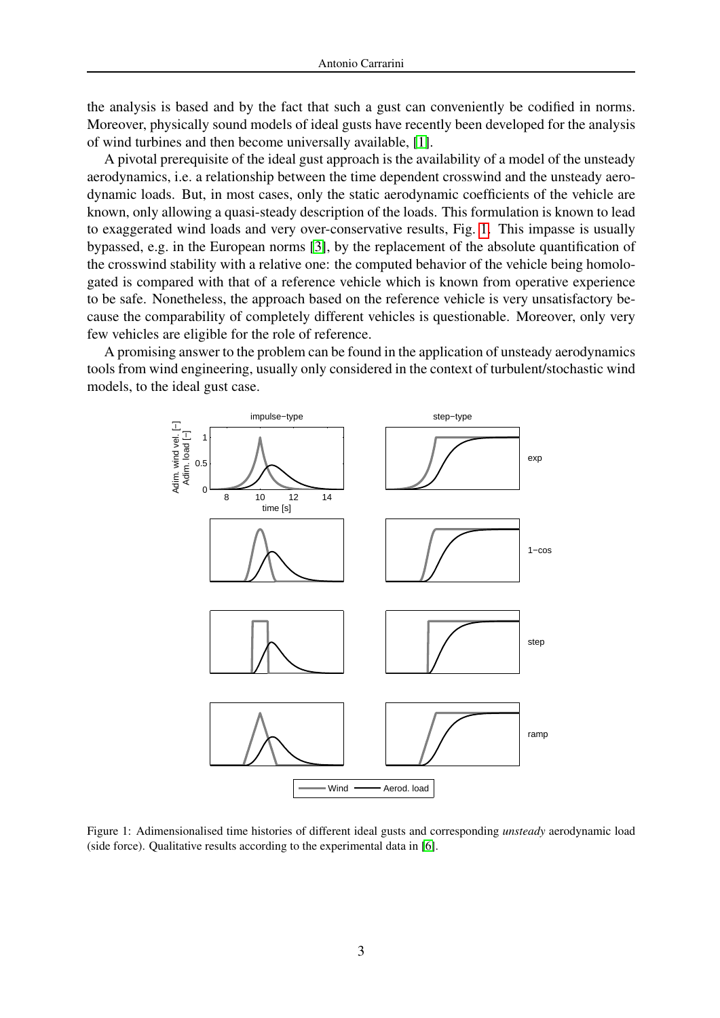the analysis is based and by the fact that such a gust can conveniently be codified in norms. Moreover, physically sound models of ideal gusts have recently been developed for the analysis of wind turbines and then become universally available, [\[1\]](#page-3-5).

A pivotal prerequisite of the ideal gust approach is the availability of a model of the unsteady aerodynamics, i.e. a relationship between the time dependent crosswind and the unsteady aerodynamic loads. But, in most cases, only the static aerodynamic coefficients of the vehicle are known, only allowing a quasi-steady description of the loads. This formulation is known to lead to exaggerated wind loads and very over-conservative results, Fig. [1.](#page-2-0) This impasse is usually bypassed, e.g. in the European norms [\[3\]](#page-3-6), by the replacement of the absolute quantification of the crosswind stability with a relative one: the computed behavior of the vehicle being homologated is compared with that of a reference vehicle which is known from operative experience to be safe. Nonetheless, the approach based on the reference vehicle is very unsatisfactory because the comparability of completely different vehicles is questionable. Moreover, only very few vehicles are eligible for the role of reference.

A promising answer to the problem can be found in the application of unsteady aerodynamics tools from wind engineering, usually only considered in the context of turbulent/stochastic wind models, to the ideal gust case.



<span id="page-2-0"></span>Figure 1: Adimensionalised time histories of different ideal gusts and corresponding *unsteady* aerodynamic load (side force). Qualitative results according to the experimental data in [\[6\]](#page-3-7).